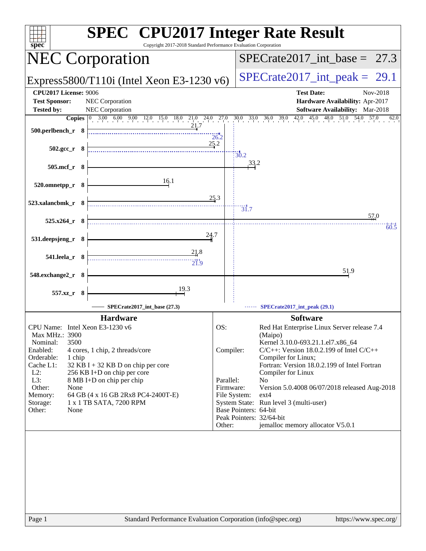| <b>SPEC<sup>®</sup></b> CPU2017 Integer Rate Result<br>Copyright 2017-2018 Standard Performance Evaluation Corporation<br>spec |                          |                                                                                                     |
|--------------------------------------------------------------------------------------------------------------------------------|--------------------------|-----------------------------------------------------------------------------------------------------|
| <b>NEC Corporation</b>                                                                                                         |                          | $SPECTate2017\_int\_base = 27.3$                                                                    |
| Express5800/T110i (Intel Xeon E3-1230 $v6$ )                                                                                   |                          | $SPECrate2017\_int\_peak = 29.1$                                                                    |
| <b>CPU2017 License: 9006</b><br><b>Test Sponsor:</b><br>NEC Corporation<br><b>Tested by:</b><br>NEC Corporation                |                          | <b>Test Date:</b><br>Nov-2018<br>Hardware Availability: Apr-2017<br>Software Availability: Mar-2018 |
|                                                                                                                                |                          | 62.0                                                                                                |
| 500.perlbench_r 8                                                                                                              | 26.2                     |                                                                                                     |
| $502.\text{gcc r}$ 8                                                                                                           | 25.2<br>$\frac{1}{30.2}$ |                                                                                                     |
| 505.mcf_r 8                                                                                                                    |                          | 33.2                                                                                                |
| 16.1<br>520.omnetpp_r 8                                                                                                        |                          |                                                                                                     |
| 523.xalancbmk_r 8                                                                                                              | 25.3<br>$\frac{1}{31.7}$ |                                                                                                     |
| $525.x264_r$ 8                                                                                                                 |                          | 57.0<br>60.5                                                                                        |
| 24.7<br>531.deepsjeng_r 8                                                                                                      |                          |                                                                                                     |
| 21.8<br>$541.$ leela_r $8$<br>21.9                                                                                             |                          |                                                                                                     |
| 548.exchange2_r 8                                                                                                              |                          | 51.9                                                                                                |
| 19.3<br>557.xz_r<br>- 8                                                                                                        |                          |                                                                                                     |
| SPECrate2017_int_base (27.3)                                                                                                   |                          | SPECrate2017_int_peak (29.1)                                                                        |
| <b>Hardware</b>                                                                                                                |                          | <b>Software</b>                                                                                     |
| CPU Name: Intel Xeon E3-1230 v6<br>Max MHz.: 3900                                                                              | OS:                      | Red Hat Enterprise Linux Server release 7.4<br>(Maipo)                                              |
| 3500<br>Nominal:                                                                                                               |                          | Kernel 3.10.0-693.21.1.el7.x86_64                                                                   |
| Enabled:<br>4 cores, 1 chip, 2 threads/core                                                                                    | Compiler:                | $C/C++$ : Version 18.0.2.199 of Intel $C/C++$                                                       |
| Orderable:<br>1 chip<br>Cache L1:<br>$32$ KB I + 32 KB D on chip per core                                                      |                          | Compiler for Linux;<br>Fortran: Version 18.0.2.199 of Intel Fortran                                 |
| $L2$ :<br>256 KB I+D on chip per core                                                                                          |                          | Compiler for Linux                                                                                  |
| L3:<br>8 MB I+D on chip per chip                                                                                               | Parallel:                | No                                                                                                  |
| Other:<br>None                                                                                                                 | Firmware:                | Version 5.0.4008 06/07/2018 released Aug-2018                                                       |
| 64 GB (4 x 16 GB 2Rx8 PC4-2400T-E)<br>Memory:<br>1 x 1 TB SATA, 7200 RPM<br>Storage:                                           | File System:             | $ext{4}$<br>System State: Run level 3 (multi-user)                                                  |
| Other:<br>None                                                                                                                 | Base Pointers: 64-bit    |                                                                                                     |
|                                                                                                                                | Other:                   | Peak Pointers: 32/64-bit<br>jemalloc memory allocator V5.0.1                                        |
|                                                                                                                                |                          |                                                                                                     |
| Standard Performance Evaluation Corporation (info@spec.org)<br>Page 1                                                          |                          | https://www.spec.org/                                                                               |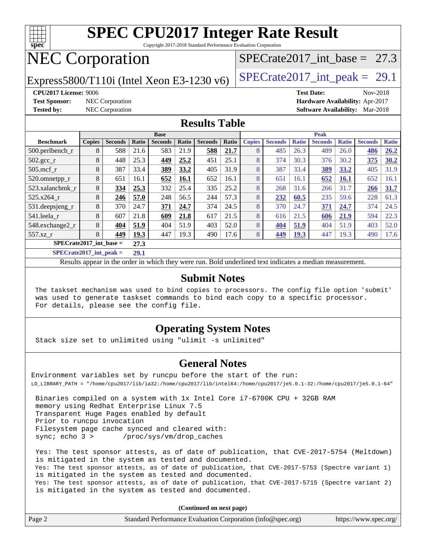

Copyright 2017-2018 Standard Performance Evaluation Corporation

# NEC Corporation

Express5800/T110i (Intel Xeon E3-1230 v6)  $\left|$  [SPECrate2017\\_int\\_peak =](http://www.spec.org/auto/cpu2017/Docs/result-fields.html#SPECrate2017intpeak) 29.1

SPECrate2017 int\_base =  $27.3$ 

**[CPU2017 License:](http://www.spec.org/auto/cpu2017/Docs/result-fields.html#CPU2017License)** 9006 **[Test Date:](http://www.spec.org/auto/cpu2017/Docs/result-fields.html#TestDate)** Nov-2018 **[Test Sponsor:](http://www.spec.org/auto/cpu2017/Docs/result-fields.html#TestSponsor)** NEC Corporation **[Hardware Availability:](http://www.spec.org/auto/cpu2017/Docs/result-fields.html#HardwareAvailability)** Apr-2017 **[Tested by:](http://www.spec.org/auto/cpu2017/Docs/result-fields.html#Testedby)** NEC Corporation **[Software Availability:](http://www.spec.org/auto/cpu2017/Docs/result-fields.html#SoftwareAvailability)** Mar-2018

#### **[Results Table](http://www.spec.org/auto/cpu2017/Docs/result-fields.html#ResultsTable)**

| <b>Base</b>                       |               |                |       |                |       |                | <b>Peak</b> |               |                |              |                |              |                |              |
|-----------------------------------|---------------|----------------|-------|----------------|-------|----------------|-------------|---------------|----------------|--------------|----------------|--------------|----------------|--------------|
| <b>Benchmark</b>                  | <b>Copies</b> | <b>Seconds</b> | Ratio | <b>Seconds</b> | Ratio | <b>Seconds</b> | Ratio       | <b>Copies</b> | <b>Seconds</b> | <b>Ratio</b> | <b>Seconds</b> | <b>Ratio</b> | <b>Seconds</b> | <b>Ratio</b> |
| $500.$ perlbench_r                | 8             | 588            | 21.6  | 583            | 21.9  | 588            | 21.7        | 8             | 485            | 26.3         | 489            | 26.0         | 486            | 26.2         |
| $502.\text{gcc}$ _r               | 8             | 448            | 25.3  | 449            | 25.2  | 451            | 25.1        | 8             | 374            | 30.3         | 376            | 30.2         | 375            | 30.2         |
| $505$ .mcf r                      | 8             | 387            | 33.4  | 389            | 33.2  | 405            | 31.9        | 8             | 387            | 33.4         | 389            | 33.2         | 405            | 31.9         |
| 520.omnetpp_r                     | 8             | 651            | 16.1  | 652            | 16.1  | 652            | 16.1        | 8             | 651            | 16.1         | 652            | <b>16.1</b>  | 652            | 16.1         |
| 523.xalancbmk_r                   | 8             | 334            | 25.3  | 332            | 25.4  | 335            | 25.2        | 8             | 268            | 31.6         | 266            | 31.7         | 266            | 31.7         |
| 525.x264 r                        | 8             | 246            | 57.0  | 248            | 56.5  | 244            | 57.3        | 8             | 232            | 60.5         | 235            | 59.6         | 228            | 61.3         |
| 531.deepsjeng_r                   | 8             | 370            | 24.7  | 371            | 24.7  | 374            | 24.5        | 8             | 370            | 24.7         | 371            | 24.7         | 374            | 24.5         |
| 541.leela_r                       | 8             | 607            | 21.8  | 609            | 21.8  | 617            | 21.5        | 8             | 616            | 21.5         | 606            | 21.9         | 594            | 22.3         |
| 548.exchange2_r                   | 8             | 404            | 51.9  | 404            | 51.9  | 403            | 52.0        | 8             | 404            | 51.9         | 404            | 51.9         | 403            | 52.0         |
| 557.xz r                          | 8             | 449            | 19.3  | 447            | 19.3  | 490            | 17.6        | 8             | 449            | <b>19.3</b>  | 447            | 19.3         | 490            | 17.6         |
| $SPECrate2017$ int base =<br>27.3 |               |                |       |                |       |                |             |               |                |              |                |              |                |              |
|                                   | 20.4          |                |       |                |       |                |             |               |                |              |                |              |                |              |

**[SPECrate2017\\_int\\_peak =](http://www.spec.org/auto/cpu2017/Docs/result-fields.html#SPECrate2017intpeak) 29.1**

Results appear in the [order in which they were run](http://www.spec.org/auto/cpu2017/Docs/result-fields.html#RunOrder). Bold underlined text [indicates a median measurement](http://www.spec.org/auto/cpu2017/Docs/result-fields.html#Median).

#### **[Submit Notes](http://www.spec.org/auto/cpu2017/Docs/result-fields.html#SubmitNotes)**

 The taskset mechanism was used to bind copies to processors. The config file option 'submit' was used to generate taskset commands to bind each copy to a specific processor. For details, please see the config file.

#### **[Operating System Notes](http://www.spec.org/auto/cpu2017/Docs/result-fields.html#OperatingSystemNotes)**

Stack size set to unlimited using "ulimit -s unlimited"

#### **[General Notes](http://www.spec.org/auto/cpu2017/Docs/result-fields.html#GeneralNotes)**

Environment variables set by runcpu before the start of the run: LD\_LIBRARY\_PATH = "/home/cpu2017/lib/ia32:/home/cpu2017/lib/intel64:/home/cpu2017/je5.0.1-32:/home/cpu2017/je5.0.1-64"

 Binaries compiled on a system with 1x Intel Core i7-6700K CPU + 32GB RAM memory using Redhat Enterprise Linux 7.5 Transparent Huge Pages enabled by default Prior to runcpu invocation Filesystem page cache synced and cleared with: sync; echo 3 > /proc/sys/vm/drop\_caches

 Yes: The test sponsor attests, as of date of publication, that CVE-2017-5754 (Meltdown) is mitigated in the system as tested and documented. Yes: The test sponsor attests, as of date of publication, that CVE-2017-5753 (Spectre variant 1) is mitigated in the system as tested and documented. Yes: The test sponsor attests, as of date of publication, that CVE-2017-5715 (Spectre variant 2) is mitigated in the system as tested and documented.

**(Continued on next page)**

| Page 2 | Standard Performance Evaluation Corporation (info@spec.org) | https://www.spec.org/ |
|--------|-------------------------------------------------------------|-----------------------|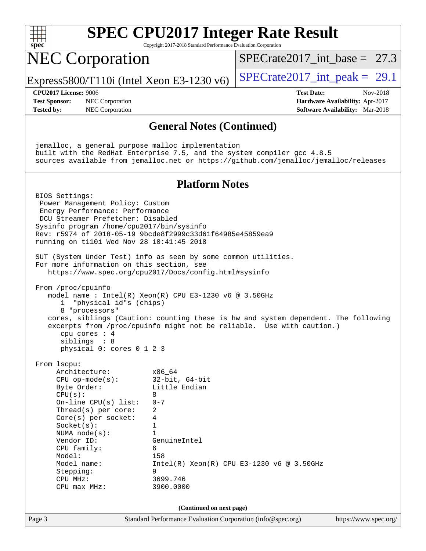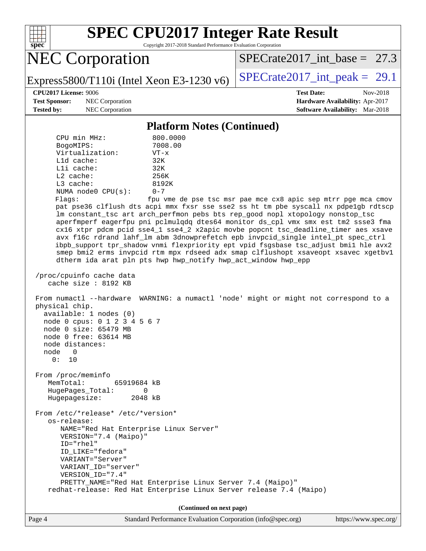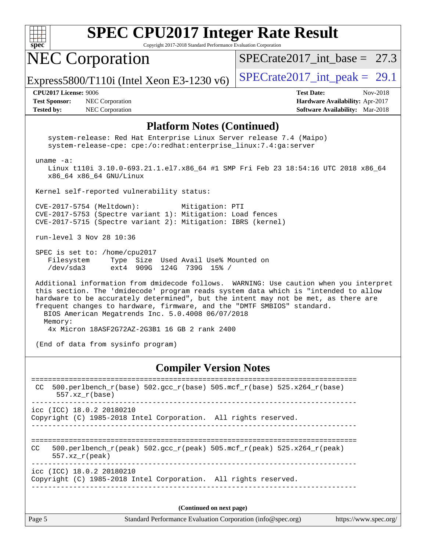

Copyright 2017-2018 Standard Performance Evaluation Corporation

# NEC Corporation

SPECrate2017 int\_base =  $27.3$ 

Express5800/T110i (Intel Xeon E3-1230 v6)  $\left|$  [SPECrate2017\\_int\\_peak =](http://www.spec.org/auto/cpu2017/Docs/result-fields.html#SPECrate2017intpeak) 29.1

**[Test Sponsor:](http://www.spec.org/auto/cpu2017/Docs/result-fields.html#TestSponsor)** NEC Corporation **[Hardware Availability:](http://www.spec.org/auto/cpu2017/Docs/result-fields.html#HardwareAvailability)** Apr-2017 **[Tested by:](http://www.spec.org/auto/cpu2017/Docs/result-fields.html#Testedby)** NEC Corporation **[Software Availability:](http://www.spec.org/auto/cpu2017/Docs/result-fields.html#SoftwareAvailability)** Mar-2018

**[CPU2017 License:](http://www.spec.org/auto/cpu2017/Docs/result-fields.html#CPU2017License)** 9006 **[Test Date:](http://www.spec.org/auto/cpu2017/Docs/result-fields.html#TestDate)** Nov-2018

#### **[Platform Notes \(Continued\)](http://www.spec.org/auto/cpu2017/Docs/result-fields.html#PlatformNotes)**

 system-release: Red Hat Enterprise Linux Server release 7.4 (Maipo) system-release-cpe: cpe:/o:redhat:enterprise\_linux:7.4:ga:server uname -a: Linux t110i 3.10.0-693.21.1.el7.x86\_64 #1 SMP Fri Feb 23 18:54:16 UTC 2018 x86\_64 x86\_64 x86\_64 GNU/Linux Kernel self-reported vulnerability status: CVE-2017-5754 (Meltdown): Mitigation: PTI CVE-2017-5753 (Spectre variant 1): Mitigation: Load fences CVE-2017-5715 (Spectre variant 2): Mitigation: IBRS (kernel) run-level 3 Nov 28 10:36 SPEC is set to: /home/cpu2017 Filesystem Type Size Used Avail Use% Mounted on /dev/sda3 ext4 909G 124G 739G 15% / Additional information from dmidecode follows. WARNING: Use caution when you interpret this section. The 'dmidecode' program reads system data which is "intended to allow hardware to be accurately determined", but the intent may not be met, as there are frequent changes to hardware, firmware, and the "DMTF SMBIOS" standard. BIOS American Megatrends Inc. 5.0.4008 06/07/2018 Memory:

4x Micron 18ASF2G72AZ-2G3B1 16 GB 2 rank 2400

(End of data from sysinfo program)

#### **[Compiler Version Notes](http://www.spec.org/auto/cpu2017/Docs/result-fields.html#CompilerVersionNotes)**

| CC  | 500.perlbench $r(base)$ 502.qcc $r(base)$ 505.mcf $r(base)$ 525.x264 $r(base)$<br>$557.xx$ $r(base)$                           |  |
|-----|--------------------------------------------------------------------------------------------------------------------------------|--|
|     | $\text{icc}$ (ICC) 18.0.2 20180210<br>Copyright (C) 1985-2018 Intel Corporation. All rights reserved.                          |  |
| CC. | 500.perlbench $r(\text{peak})$ 502.gcc $r(\text{peak})$ 505.mcf $r(\text{peak})$ 525.x264 $r(\text{peak})$<br>$557.xx$ r(peak) |  |
|     | icc (ICC) 18.0.2 20180210<br>Copyright (C) 1985-2018 Intel Corporation. All rights reserved.                                   |  |
|     |                                                                                                                                |  |

**(Continued on next page)**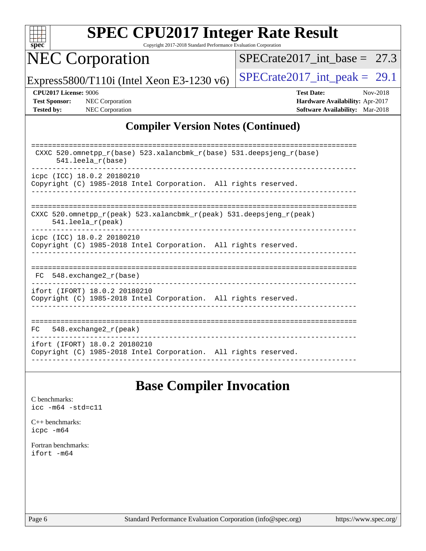

Copyright 2017-2018 Standard Performance Evaluation Corporation

# NEC Corporation

[SPECrate2017\\_int\\_base =](http://www.spec.org/auto/cpu2017/Docs/result-fields.html#SPECrate2017intbase) 27.3

Express5800/T110i (Intel Xeon E3-1230 v6)  $\left|$  [SPECrate2017\\_int\\_peak =](http://www.spec.org/auto/cpu2017/Docs/result-fields.html#SPECrate2017intpeak) 29.1

**[CPU2017 License:](http://www.spec.org/auto/cpu2017/Docs/result-fields.html#CPU2017License)** 9006 **[Test Date:](http://www.spec.org/auto/cpu2017/Docs/result-fields.html#TestDate)** Nov-2018 **[Test Sponsor:](http://www.spec.org/auto/cpu2017/Docs/result-fields.html#TestSponsor)** NEC Corporation **[Hardware Availability:](http://www.spec.org/auto/cpu2017/Docs/result-fields.html#HardwareAvailability)** Apr-2017 **[Tested by:](http://www.spec.org/auto/cpu2017/Docs/result-fields.html#Testedby)** NEC Corporation **[Software Availability:](http://www.spec.org/auto/cpu2017/Docs/result-fields.html#SoftwareAvailability)** Mar-2018

#### **[Compiler Version Notes \(Continued\)](http://www.spec.org/auto/cpu2017/Docs/result-fields.html#CompilerVersionNotes)**

| CXXC 520.omnetpp $r(base)$ 523.xalancbmk $r(base)$ 531.deepsjeng $r(base)$<br>$541.$ leela $r(base)$ |
|------------------------------------------------------------------------------------------------------|
| icpc (ICC) 18.0.2 20180210                                                                           |
|                                                                                                      |
| Copyright (C) 1985-2018 Intel Corporation. All rights reserved.                                      |
|                                                                                                      |
| CXXC 520.omnetpp $r(\text{peak})$ 523.xalancbmk $r(\text{peak})$ 531.deepsjeng $r(\text{peak})$      |
| $541.$ leela $r$ (peak)                                                                              |
| icpc (ICC) 18.0.2 20180210                                                                           |
|                                                                                                      |
| Copyright (C) 1985-2018 Intel Corporation. All rights reserved.                                      |
|                                                                                                      |
|                                                                                                      |
| $FC$ 548. exchange 2 $r(base)$                                                                       |
|                                                                                                      |
| ifort (IFORT) 18.0.2 20180210                                                                        |
| Copyright (C) 1985-2018 Intel Corporation. All rights reserved.                                      |
|                                                                                                      |
|                                                                                                      |
|                                                                                                      |
| $548$ . exchange $2\_r$ (peak)<br>FC.                                                                |
|                                                                                                      |
| ifort (IFORT) 18.0.2 20180210                                                                        |
| Copyright (C) 1985-2018 Intel Corporation. All rights reserved.                                      |
|                                                                                                      |

## **[Base Compiler Invocation](http://www.spec.org/auto/cpu2017/Docs/result-fields.html#BaseCompilerInvocation)**

[C benchmarks](http://www.spec.org/auto/cpu2017/Docs/result-fields.html#Cbenchmarks): [icc -m64 -std=c11](http://www.spec.org/cpu2017/results/res2018q4/cpu2017-20181210-10033.flags.html#user_CCbase_intel_icc_64bit_c11_33ee0cdaae7deeeab2a9725423ba97205ce30f63b9926c2519791662299b76a0318f32ddfffdc46587804de3178b4f9328c46fa7c2b0cd779d7a61945c91cd35)

[C++ benchmarks:](http://www.spec.org/auto/cpu2017/Docs/result-fields.html#CXXbenchmarks) [icpc -m64](http://www.spec.org/cpu2017/results/res2018q4/cpu2017-20181210-10033.flags.html#user_CXXbase_intel_icpc_64bit_4ecb2543ae3f1412ef961e0650ca070fec7b7afdcd6ed48761b84423119d1bf6bdf5cad15b44d48e7256388bc77273b966e5eb805aefd121eb22e9299b2ec9d9)

[Fortran benchmarks](http://www.spec.org/auto/cpu2017/Docs/result-fields.html#Fortranbenchmarks): [ifort -m64](http://www.spec.org/cpu2017/results/res2018q4/cpu2017-20181210-10033.flags.html#user_FCbase_intel_ifort_64bit_24f2bb282fbaeffd6157abe4f878425411749daecae9a33200eee2bee2fe76f3b89351d69a8130dd5949958ce389cf37ff59a95e7a40d588e8d3a57e0c3fd751)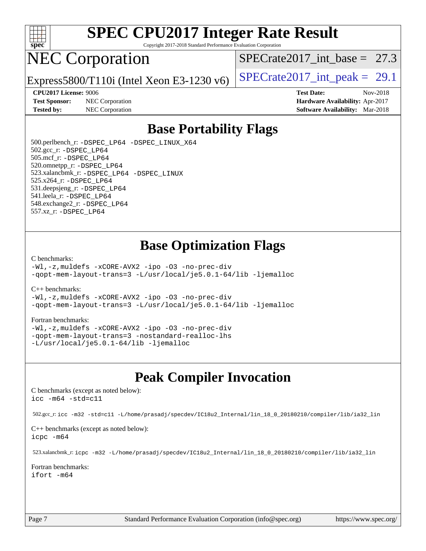

Copyright 2017-2018 Standard Performance Evaluation Corporation

# NEC Corporation

SPECrate2017 int\_base =  $27.3$ 

Express5800/T110i (Intel Xeon E3-1230 v6)  $\left|$  [SPECrate2017\\_int\\_peak =](http://www.spec.org/auto/cpu2017/Docs/result-fields.html#SPECrate2017intpeak) 29.1

**[Test Sponsor:](http://www.spec.org/auto/cpu2017/Docs/result-fields.html#TestSponsor)** NEC Corporation **[Hardware Availability:](http://www.spec.org/auto/cpu2017/Docs/result-fields.html#HardwareAvailability)** Apr-2017

**[CPU2017 License:](http://www.spec.org/auto/cpu2017/Docs/result-fields.html#CPU2017License)** 9006 **[Test Date:](http://www.spec.org/auto/cpu2017/Docs/result-fields.html#TestDate)** Nov-2018 **[Tested by:](http://www.spec.org/auto/cpu2017/Docs/result-fields.html#Testedby)** NEC Corporation **[Software Availability:](http://www.spec.org/auto/cpu2017/Docs/result-fields.html#SoftwareAvailability)** Mar-2018

## **[Base Portability Flags](http://www.spec.org/auto/cpu2017/Docs/result-fields.html#BasePortabilityFlags)**

 500.perlbench\_r: [-DSPEC\\_LP64](http://www.spec.org/cpu2017/results/res2018q4/cpu2017-20181210-10033.flags.html#b500.perlbench_r_basePORTABILITY_DSPEC_LP64) [-DSPEC\\_LINUX\\_X64](http://www.spec.org/cpu2017/results/res2018q4/cpu2017-20181210-10033.flags.html#b500.perlbench_r_baseCPORTABILITY_DSPEC_LINUX_X64) 502.gcc\_r: [-DSPEC\\_LP64](http://www.spec.org/cpu2017/results/res2018q4/cpu2017-20181210-10033.flags.html#suite_basePORTABILITY502_gcc_r_DSPEC_LP64) 505.mcf\_r: [-DSPEC\\_LP64](http://www.spec.org/cpu2017/results/res2018q4/cpu2017-20181210-10033.flags.html#suite_basePORTABILITY505_mcf_r_DSPEC_LP64) 520.omnetpp\_r: [-DSPEC\\_LP64](http://www.spec.org/cpu2017/results/res2018q4/cpu2017-20181210-10033.flags.html#suite_basePORTABILITY520_omnetpp_r_DSPEC_LP64) 523.xalancbmk\_r: [-DSPEC\\_LP64](http://www.spec.org/cpu2017/results/res2018q4/cpu2017-20181210-10033.flags.html#suite_basePORTABILITY523_xalancbmk_r_DSPEC_LP64) [-DSPEC\\_LINUX](http://www.spec.org/cpu2017/results/res2018q4/cpu2017-20181210-10033.flags.html#b523.xalancbmk_r_baseCXXPORTABILITY_DSPEC_LINUX) 525.x264\_r: [-DSPEC\\_LP64](http://www.spec.org/cpu2017/results/res2018q4/cpu2017-20181210-10033.flags.html#suite_basePORTABILITY525_x264_r_DSPEC_LP64) 531.deepsjeng\_r: [-DSPEC\\_LP64](http://www.spec.org/cpu2017/results/res2018q4/cpu2017-20181210-10033.flags.html#suite_basePORTABILITY531_deepsjeng_r_DSPEC_LP64) 541.leela\_r: [-DSPEC\\_LP64](http://www.spec.org/cpu2017/results/res2018q4/cpu2017-20181210-10033.flags.html#suite_basePORTABILITY541_leela_r_DSPEC_LP64) 548.exchange2\_r: [-DSPEC\\_LP64](http://www.spec.org/cpu2017/results/res2018q4/cpu2017-20181210-10033.flags.html#suite_basePORTABILITY548_exchange2_r_DSPEC_LP64) 557.xz\_r: [-DSPEC\\_LP64](http://www.spec.org/cpu2017/results/res2018q4/cpu2017-20181210-10033.flags.html#suite_basePORTABILITY557_xz_r_DSPEC_LP64)

## **[Base Optimization Flags](http://www.spec.org/auto/cpu2017/Docs/result-fields.html#BaseOptimizationFlags)**

#### [C benchmarks](http://www.spec.org/auto/cpu2017/Docs/result-fields.html#Cbenchmarks):

[-Wl,-z,muldefs](http://www.spec.org/cpu2017/results/res2018q4/cpu2017-20181210-10033.flags.html#user_CCbase_link_force_multiple1_b4cbdb97b34bdee9ceefcfe54f4c8ea74255f0b02a4b23e853cdb0e18eb4525ac79b5a88067c842dd0ee6996c24547a27a4b99331201badda8798ef8a743f577) [-xCORE-AVX2](http://www.spec.org/cpu2017/results/res2018q4/cpu2017-20181210-10033.flags.html#user_CCbase_f-xCORE-AVX2) [-ipo](http://www.spec.org/cpu2017/results/res2018q4/cpu2017-20181210-10033.flags.html#user_CCbase_f-ipo) [-O3](http://www.spec.org/cpu2017/results/res2018q4/cpu2017-20181210-10033.flags.html#user_CCbase_f-O3) [-no-prec-div](http://www.spec.org/cpu2017/results/res2018q4/cpu2017-20181210-10033.flags.html#user_CCbase_f-no-prec-div) [-qopt-mem-layout-trans=3](http://www.spec.org/cpu2017/results/res2018q4/cpu2017-20181210-10033.flags.html#user_CCbase_f-qopt-mem-layout-trans_de80db37974c74b1f0e20d883f0b675c88c3b01e9d123adea9b28688d64333345fb62bc4a798493513fdb68f60282f9a726aa07f478b2f7113531aecce732043) [-L/usr/local/je5.0.1-64/lib](http://www.spec.org/cpu2017/results/res2018q4/cpu2017-20181210-10033.flags.html#user_CCbase_jemalloc_link_path64_4b10a636b7bce113509b17f3bd0d6226c5fb2346b9178c2d0232c14f04ab830f976640479e5c33dc2bcbbdad86ecfb6634cbbd4418746f06f368b512fced5394) [-ljemalloc](http://www.spec.org/cpu2017/results/res2018q4/cpu2017-20181210-10033.flags.html#user_CCbase_jemalloc_link_lib_d1249b907c500fa1c0672f44f562e3d0f79738ae9e3c4a9c376d49f265a04b9c99b167ecedbf6711b3085be911c67ff61f150a17b3472be731631ba4d0471706)

#### [C++ benchmarks:](http://www.spec.org/auto/cpu2017/Docs/result-fields.html#CXXbenchmarks)

[-Wl,-z,muldefs](http://www.spec.org/cpu2017/results/res2018q4/cpu2017-20181210-10033.flags.html#user_CXXbase_link_force_multiple1_b4cbdb97b34bdee9ceefcfe54f4c8ea74255f0b02a4b23e853cdb0e18eb4525ac79b5a88067c842dd0ee6996c24547a27a4b99331201badda8798ef8a743f577) [-xCORE-AVX2](http://www.spec.org/cpu2017/results/res2018q4/cpu2017-20181210-10033.flags.html#user_CXXbase_f-xCORE-AVX2) [-ipo](http://www.spec.org/cpu2017/results/res2018q4/cpu2017-20181210-10033.flags.html#user_CXXbase_f-ipo) [-O3](http://www.spec.org/cpu2017/results/res2018q4/cpu2017-20181210-10033.flags.html#user_CXXbase_f-O3) [-no-prec-div](http://www.spec.org/cpu2017/results/res2018q4/cpu2017-20181210-10033.flags.html#user_CXXbase_f-no-prec-div) [-qopt-mem-layout-trans=3](http://www.spec.org/cpu2017/results/res2018q4/cpu2017-20181210-10033.flags.html#user_CXXbase_f-qopt-mem-layout-trans_de80db37974c74b1f0e20d883f0b675c88c3b01e9d123adea9b28688d64333345fb62bc4a798493513fdb68f60282f9a726aa07f478b2f7113531aecce732043) [-L/usr/local/je5.0.1-64/lib](http://www.spec.org/cpu2017/results/res2018q4/cpu2017-20181210-10033.flags.html#user_CXXbase_jemalloc_link_path64_4b10a636b7bce113509b17f3bd0d6226c5fb2346b9178c2d0232c14f04ab830f976640479e5c33dc2bcbbdad86ecfb6634cbbd4418746f06f368b512fced5394) [-ljemalloc](http://www.spec.org/cpu2017/results/res2018q4/cpu2017-20181210-10033.flags.html#user_CXXbase_jemalloc_link_lib_d1249b907c500fa1c0672f44f562e3d0f79738ae9e3c4a9c376d49f265a04b9c99b167ecedbf6711b3085be911c67ff61f150a17b3472be731631ba4d0471706)

#### [Fortran benchmarks](http://www.spec.org/auto/cpu2017/Docs/result-fields.html#Fortranbenchmarks):

[-Wl,-z,muldefs](http://www.spec.org/cpu2017/results/res2018q4/cpu2017-20181210-10033.flags.html#user_FCbase_link_force_multiple1_b4cbdb97b34bdee9ceefcfe54f4c8ea74255f0b02a4b23e853cdb0e18eb4525ac79b5a88067c842dd0ee6996c24547a27a4b99331201badda8798ef8a743f577) [-xCORE-AVX2](http://www.spec.org/cpu2017/results/res2018q4/cpu2017-20181210-10033.flags.html#user_FCbase_f-xCORE-AVX2) [-ipo](http://www.spec.org/cpu2017/results/res2018q4/cpu2017-20181210-10033.flags.html#user_FCbase_f-ipo) [-O3](http://www.spec.org/cpu2017/results/res2018q4/cpu2017-20181210-10033.flags.html#user_FCbase_f-O3) [-no-prec-div](http://www.spec.org/cpu2017/results/res2018q4/cpu2017-20181210-10033.flags.html#user_FCbase_f-no-prec-div) [-qopt-mem-layout-trans=3](http://www.spec.org/cpu2017/results/res2018q4/cpu2017-20181210-10033.flags.html#user_FCbase_f-qopt-mem-layout-trans_de80db37974c74b1f0e20d883f0b675c88c3b01e9d123adea9b28688d64333345fb62bc4a798493513fdb68f60282f9a726aa07f478b2f7113531aecce732043) [-nostandard-realloc-lhs](http://www.spec.org/cpu2017/results/res2018q4/cpu2017-20181210-10033.flags.html#user_FCbase_f_2003_std_realloc_82b4557e90729c0f113870c07e44d33d6f5a304b4f63d4c15d2d0f1fab99f5daaed73bdb9275d9ae411527f28b936061aa8b9c8f2d63842963b95c9dd6426b8a) [-L/usr/local/je5.0.1-64/lib](http://www.spec.org/cpu2017/results/res2018q4/cpu2017-20181210-10033.flags.html#user_FCbase_jemalloc_link_path64_4b10a636b7bce113509b17f3bd0d6226c5fb2346b9178c2d0232c14f04ab830f976640479e5c33dc2bcbbdad86ecfb6634cbbd4418746f06f368b512fced5394) [-ljemalloc](http://www.spec.org/cpu2017/results/res2018q4/cpu2017-20181210-10033.flags.html#user_FCbase_jemalloc_link_lib_d1249b907c500fa1c0672f44f562e3d0f79738ae9e3c4a9c376d49f265a04b9c99b167ecedbf6711b3085be911c67ff61f150a17b3472be731631ba4d0471706)

#### **[Peak Compiler Invocation](http://www.spec.org/auto/cpu2017/Docs/result-fields.html#PeakCompilerInvocation)**

[C benchmarks \(except as noted below\)](http://www.spec.org/auto/cpu2017/Docs/result-fields.html#Cbenchmarksexceptasnotedbelow): [icc -m64 -std=c11](http://www.spec.org/cpu2017/results/res2018q4/cpu2017-20181210-10033.flags.html#user_CCpeak_intel_icc_64bit_c11_33ee0cdaae7deeeab2a9725423ba97205ce30f63b9926c2519791662299b76a0318f32ddfffdc46587804de3178b4f9328c46fa7c2b0cd779d7a61945c91cd35)

502.gcc\_r: [icc -m32 -std=c11 -L/home/prasadj/specdev/IC18u2\\_Internal/lin\\_18\\_0\\_20180210/compiler/lib/ia32\\_lin](http://www.spec.org/cpu2017/results/res2018q4/cpu2017-20181210-10033.flags.html#user_peakCCLD502_gcc_r_intel_icc_a481ac844e7127046fad14d498c730a1848fa901fbbb2c3dfdd5e9fbbac777c8009953946d55d8b6afe8ed0da70dd2b4f8dedbdf7ab1ee211ba70d24a5d89f85)

[C++ benchmarks \(except as noted below\):](http://www.spec.org/auto/cpu2017/Docs/result-fields.html#CXXbenchmarksexceptasnotedbelow) [icpc -m64](http://www.spec.org/cpu2017/results/res2018q4/cpu2017-20181210-10033.flags.html#user_CXXpeak_intel_icpc_64bit_4ecb2543ae3f1412ef961e0650ca070fec7b7afdcd6ed48761b84423119d1bf6bdf5cad15b44d48e7256388bc77273b966e5eb805aefd121eb22e9299b2ec9d9)

523.xalancbmk\_r: [icpc -m32 -L/home/prasadj/specdev/IC18u2\\_Internal/lin\\_18\\_0\\_20180210/compiler/lib/ia32\\_lin](http://www.spec.org/cpu2017/results/res2018q4/cpu2017-20181210-10033.flags.html#user_peakCXXLD523_xalancbmk_r_intel_icpc_c6d030cd79af6ea7d6fb64c57e8fe7ae8fe0b96fc5a3b3f4a10e3273b3d7fa9decd8263f6330cef23f751cb093a69fae84a2bf4c243500a8eed069248128076f)

[Fortran benchmarks](http://www.spec.org/auto/cpu2017/Docs/result-fields.html#Fortranbenchmarks): [ifort -m64](http://www.spec.org/cpu2017/results/res2018q4/cpu2017-20181210-10033.flags.html#user_FCpeak_intel_ifort_64bit_24f2bb282fbaeffd6157abe4f878425411749daecae9a33200eee2bee2fe76f3b89351d69a8130dd5949958ce389cf37ff59a95e7a40d588e8d3a57e0c3fd751)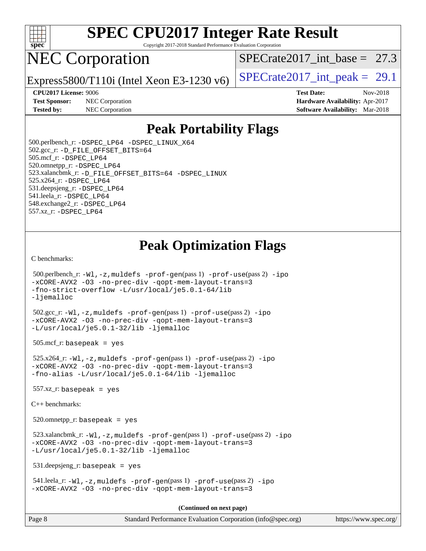

Copyright 2017-2018 Standard Performance Evaluation Corporation

# NEC Corporation

SPECrate2017 int\_base =  $27.3$ 

Express5800/T110i (Intel Xeon E3-1230 v6)  $\left|$  [SPECrate2017\\_int\\_peak =](http://www.spec.org/auto/cpu2017/Docs/result-fields.html#SPECrate2017intpeak) 29.1

**[CPU2017 License:](http://www.spec.org/auto/cpu2017/Docs/result-fields.html#CPU2017License)** 9006 **[Test Date:](http://www.spec.org/auto/cpu2017/Docs/result-fields.html#TestDate)** Nov-2018 **[Test Sponsor:](http://www.spec.org/auto/cpu2017/Docs/result-fields.html#TestSponsor)** NEC Corporation **[Hardware Availability:](http://www.spec.org/auto/cpu2017/Docs/result-fields.html#HardwareAvailability)** Apr-2017 **[Tested by:](http://www.spec.org/auto/cpu2017/Docs/result-fields.html#Testedby)** NEC Corporation **[Software Availability:](http://www.spec.org/auto/cpu2017/Docs/result-fields.html#SoftwareAvailability)** Mar-2018

## **[Peak Portability Flags](http://www.spec.org/auto/cpu2017/Docs/result-fields.html#PeakPortabilityFlags)**

 500.perlbench\_r: [-DSPEC\\_LP64](http://www.spec.org/cpu2017/results/res2018q4/cpu2017-20181210-10033.flags.html#b500.perlbench_r_peakPORTABILITY_DSPEC_LP64) [-DSPEC\\_LINUX\\_X64](http://www.spec.org/cpu2017/results/res2018q4/cpu2017-20181210-10033.flags.html#b500.perlbench_r_peakCPORTABILITY_DSPEC_LINUX_X64) 502.gcc\_r: [-D\\_FILE\\_OFFSET\\_BITS=64](http://www.spec.org/cpu2017/results/res2018q4/cpu2017-20181210-10033.flags.html#user_peakPORTABILITY502_gcc_r_file_offset_bits_64_5ae949a99b284ddf4e95728d47cb0843d81b2eb0e18bdfe74bbf0f61d0b064f4bda2f10ea5eb90e1dcab0e84dbc592acfc5018bc955c18609f94ddb8d550002c) 505.mcf\_r: [-DSPEC\\_LP64](http://www.spec.org/cpu2017/results/res2018q4/cpu2017-20181210-10033.flags.html#suite_peakPORTABILITY505_mcf_r_DSPEC_LP64) 520.omnetpp\_r: [-DSPEC\\_LP64](http://www.spec.org/cpu2017/results/res2018q4/cpu2017-20181210-10033.flags.html#suite_peakPORTABILITY520_omnetpp_r_DSPEC_LP64) 523.xalancbmk\_r: [-D\\_FILE\\_OFFSET\\_BITS=64](http://www.spec.org/cpu2017/results/res2018q4/cpu2017-20181210-10033.flags.html#user_peakPORTABILITY523_xalancbmk_r_file_offset_bits_64_5ae949a99b284ddf4e95728d47cb0843d81b2eb0e18bdfe74bbf0f61d0b064f4bda2f10ea5eb90e1dcab0e84dbc592acfc5018bc955c18609f94ddb8d550002c) [-DSPEC\\_LINUX](http://www.spec.org/cpu2017/results/res2018q4/cpu2017-20181210-10033.flags.html#b523.xalancbmk_r_peakCXXPORTABILITY_DSPEC_LINUX) 525.x264\_r: [-DSPEC\\_LP64](http://www.spec.org/cpu2017/results/res2018q4/cpu2017-20181210-10033.flags.html#suite_peakPORTABILITY525_x264_r_DSPEC_LP64) 531.deepsjeng\_r: [-DSPEC\\_LP64](http://www.spec.org/cpu2017/results/res2018q4/cpu2017-20181210-10033.flags.html#suite_peakPORTABILITY531_deepsjeng_r_DSPEC_LP64) 541.leela\_r: [-DSPEC\\_LP64](http://www.spec.org/cpu2017/results/res2018q4/cpu2017-20181210-10033.flags.html#suite_peakPORTABILITY541_leela_r_DSPEC_LP64) 548.exchange2\_r: [-DSPEC\\_LP64](http://www.spec.org/cpu2017/results/res2018q4/cpu2017-20181210-10033.flags.html#suite_peakPORTABILITY548_exchange2_r_DSPEC_LP64) 557.xz\_r: [-DSPEC\\_LP64](http://www.spec.org/cpu2017/results/res2018q4/cpu2017-20181210-10033.flags.html#suite_peakPORTABILITY557_xz_r_DSPEC_LP64)

## **[Peak Optimization Flags](http://www.spec.org/auto/cpu2017/Docs/result-fields.html#PeakOptimizationFlags)**

[C benchmarks](http://www.spec.org/auto/cpu2017/Docs/result-fields.html#Cbenchmarks):

```
 500.perlbench_r: -Wl,-z,muldefs -prof-gen(pass 1) -prof-use(pass 2) -ipo
-xCORE-AVX2 -O3 -no-prec-div -qopt-mem-layout-trans=3
-fno-strict-overflow -L/usr/local/je5.0.1-64/lib
-ljemalloc
 502.gcc_r: -Wl,-z,muldefs -prof-gen(pass 1) -prof-use(pass 2) -ipo
-xCORE-AVX2 -O3 -no-prec-div -qopt-mem-layout-trans=3
-L/usr/local/je5.0.1-32/lib -ljemalloc
 505.mcf_r: basepeak = yes
 525.x264_r: -Wl,-z,muldefs -prof-gen(pass 1) -prof-use(pass 2) -ipo
-xCORE-AVX2 -O3 -no-prec-div -qopt-mem-layout-trans=3
-fno-alias -L/usr/local/je5.0.1-64/lib -ljemalloc
557.xz r: basepeak = yes
C++ benchmarks: 
 520.omnetpp_r: basepeak = yes
 523.xalancbmk_r: -Wl,-z,muldefs -prof-gen(pass 1) -prof-use(pass 2) -ipo
-xCORE-AVX2 -O3 -no-prec-div -qopt-mem-layout-trans=3
-L/usr/local/je5.0.1-32/lib -ljemalloc
 531.deepsjeng_r: basepeak = yes
 541.leela_r: -Wl,-z,muldefs -prof-gen(pass 1) -prof-use(pass 2) -ipo
-xCORE-AVX2 -O3 -no-prec-div -qopt-mem-layout-trans=3
                                       (Continued on next page)
```